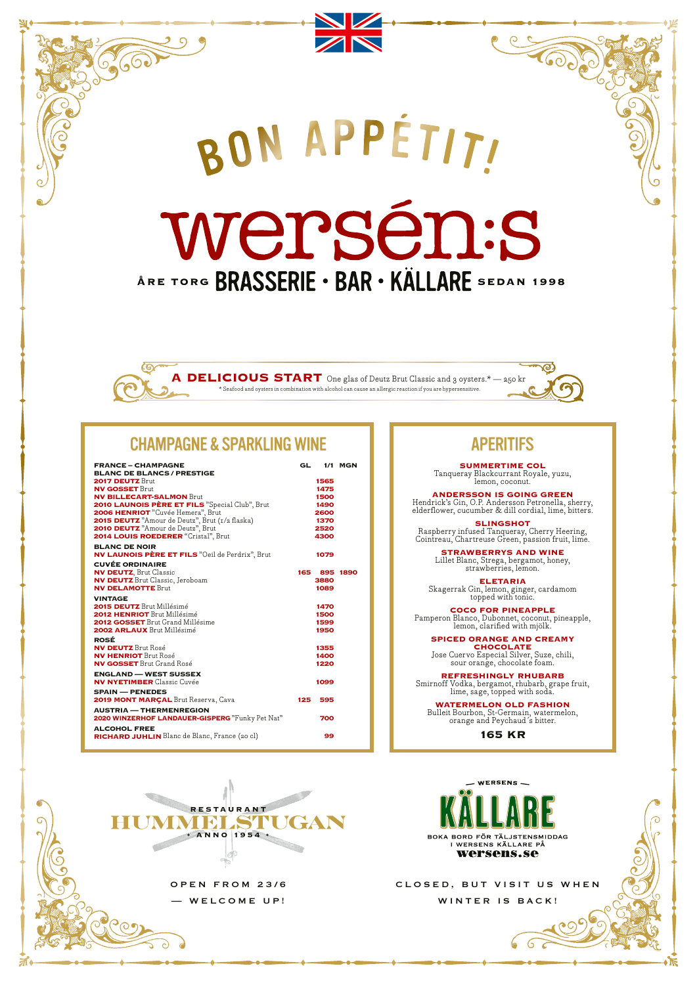# APERITIFS

**SUMMERTIME COL** Tanqueray Blackcurrant Royale, yuzu, lemon, coconut.

**Coope** 

**ANDERSSON IS GOING GREEN** Hendrick's Gin, O.P. Andersson Petronella, sherry,

elderflower, cucumber & dill cordial, lime, bitters. **SLINGSHOT**

Raspberry infused Tanqueray, Cherry Heering, Cointreau, Chartreuse Green, passion fruit, lime.

> **STRAWBERRYS AND WINE** Lillet Blanc, Strega, bergamot, honey, strawberries, lemon.

**ELETARIA** Skagerrak Gin, lemon, ginger, cardamom topped with tonic.

**COCO FOR PINEAPPLE** Pamperon Blanco, Dubonnet, coconut, pineapple, lemon, clarified with mjölk.

**SPICED ORANGE AND CREAMY CHOCOLATE**

Jose Cuervo Especial Silver, Suze, chili, sour orange, chocolate foam.

**REFRESHINGLY RHUBARB**

Smirnoff Vodka, bergamot, rhubarb, grape fruit, lime, sage, topped with soda.

**WATERMELON OLD FASHION**

Bulleit Bourbon, St-Germain, watermelon, orange and Peychaud´s bitter.

## **165 KR**



**2,600** 

wersén:s ÅRE TORG BRASSERIE · BAR · KÄLLARE SEDAN 1998

**A DELICIOUS START** One glas of Deutz Brut Classic and 3 oysters.\* — 250 kr \* Seafood and oysters in combination with alcohol can cause an allergic reaction if you are hypersensitive.

RON APPÉTITI

| <b>FRANCE - CHAMPAGNE</b><br><b>BLANC DE BLANCS / PRESTIGE</b> | GL  |      | <b>1/1 MGN</b> |
|----------------------------------------------------------------|-----|------|----------------|
| 2017 DEUTZ Brut                                                |     | 1565 |                |
| <b>NV GOSSET Brut</b>                                          |     | 1475 |                |
| <b>NV BILLECART-SALMON Brut</b>                                |     | 1500 |                |
| 2010 LAUNOIS PÈRE ET FILS "Special Club", Brut                 |     | 1490 |                |
| 2006 HENRIOT "Cuvée Hemera", Brut                              |     | 2600 |                |
| 2015 DEUTZ "Amour de Deutz", Brut (1/2 flaska)                 |     | 1370 |                |
| 2010 DEUTZ "Amour de Deutz", Brut                              |     | 2520 |                |
| <b>2014 LOUIS ROEDERER</b> "Cristal", Brut                     |     | 4300 |                |
| <b>BLANC DE NOIR</b>                                           |     |      |                |
| <b>NV LAUNOIS PÈRE ET FILS</b> "Oeil de Perdrix", Brut         |     | 1079 |                |
| <b>CUVÉE ORDINAIRE</b>                                         |     |      |                |
| <b>NV DEUTZ, Brut Classic</b>                                  | 165 |      | 895 1890       |
| <b>NV DEUTZ</b> Brut Classic, Jeroboam                         |     | 3880 |                |
| <b>NV DELAMOTTE Brut</b>                                       |     | 1089 |                |
| <b>VINTAGE</b>                                                 |     |      |                |
| 2015 DEUTZ Brut Millésimé                                      |     | 1470 |                |
| <b>2012 HENRIOT Brut Millésimé</b>                             |     | 1500 |                |
| <b>2012 GOSSET</b> Brut Grand Millésime                        |     | 1599 |                |
| <b>2002 ARLAUX</b> Brut Millésimé                              |     | 1950 |                |
| <b>ROSÉ</b>                                                    |     |      |                |
| <b>NV DEUTZ</b> Brut Rosé                                      |     | 1355 |                |
| <b>NV HENRIOT</b> Brut Rosé                                    |     | 1400 |                |
| <b>NV GOSSET</b> Brut Grand Rosé                               |     | 1220 |                |
| <b>ENGLAND — WEST SUSSEX</b>                                   |     |      |                |
| <b>NV NYETIMBER</b> Classic Cuvée                              |     | 1099 |                |
| <b>SPAIN — PENEDES</b>                                         |     |      |                |
| 2019 MONT MARÇAL Brut Reserva, Cava                            | 125 | 595  |                |
|                                                                |     |      |                |
| <b>AUSTRIA — THERMENREGION</b>                                 |     |      |                |
| 2020 WINZERHOF LANDAUER-GISPERG "Funky Pet Nat"                |     | 700  |                |
| <b>ALCOHOL FREE</b>                                            |     |      |                |
| <b>RICHARD JUHLIN</b> Blanc de Blanc, France (20 cl)           |     | 99   |                |

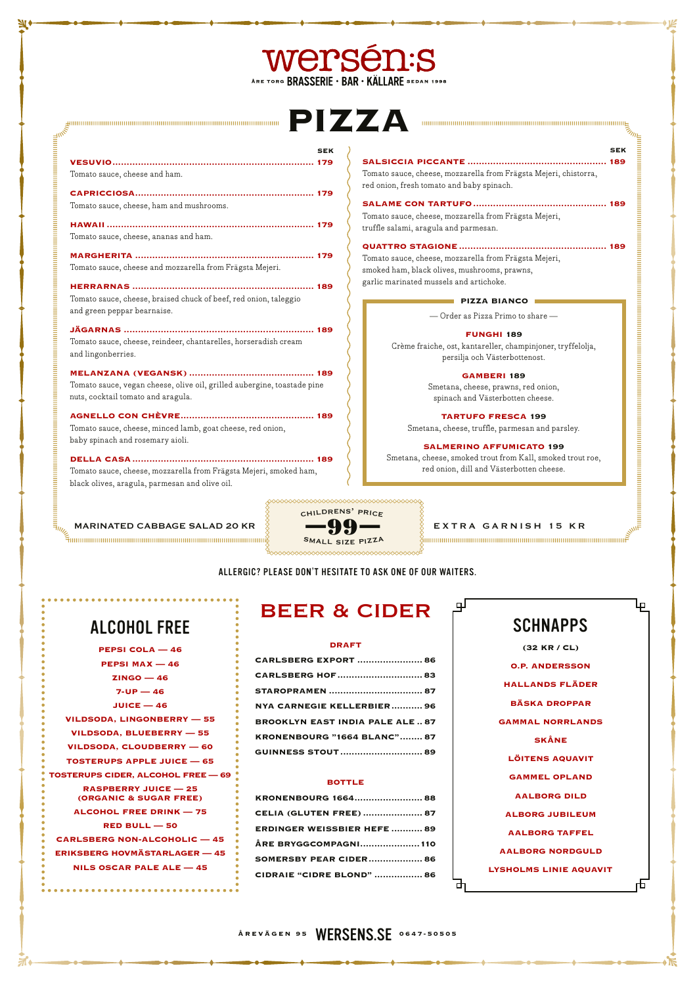**ÅREVÄGEN 95** WERSENS.SE **0647-50505**

# wersén:s ARE TORG BRASSERIE . BAR . KÄLLARE SEDAN 1998

# **PIZZA**

|                                                                                                               | <b>SEK</b> |
|---------------------------------------------------------------------------------------------------------------|------------|
| Tomato sauce, cheese and ham.                                                                                 |            |
| Tomato sauce, cheese, ham and mushrooms.                                                                      |            |
| Tomato sauce, cheese, ananas and ham.                                                                         |            |
| Tomato sauce, cheese and mozzarella from Frägsta Mejeri.                                                      |            |
| Tomato sauce, cheese, braised chuck of beef, red onion, taleggio<br>and green peppar bearnaise.               |            |
| Tomato sauce, cheese, reindeer, chantarelles, horseradish cream<br>and lingonberries.                         |            |
| Tomato sauce, vegan cheese, olive oil, grilled aubergine, toastade pine<br>nuts, cocktail tomato and aragula. |            |
| Tomato sauce, cheese, minced lamb, goat cheese, red onion,<br>baby spinach and rosemary aioli.                |            |
|                                                                                                               |            |

gunnammannammannammannammannammannammannam

**DELLA CASA................................................................ 189** Tomato sauce, cheese, mozzarella from Frägsta Mejeri, smoked ham, black olives, aragula, parmesan and olive oil.

**SEK**

 $\eta_{\eta}$ 

.<br>Бининания интернетивно полно поставление полно постоянно полно полно полно полно полно полно

Lр

**SALSICCIA PICCANTE ................................................. 189** Tomato sauce, cheese, mozzarella from Frägsta Mejeri, chistorra, red onion, fresh tomato and baby spinach.

**SALAME CON TARTUFO............................................... 189** Tomato sauce, cheese, mozzarella from Frägsta Mejeri,

truffle salami, aragula and parmesan. **QUATTRO STAGIONE.................................................... 189**



 $\frac{2}{3}$ ummummummummummummummummummummum $\tilde{\mathcal{F}}$ 

Tomato sauce, cheese, mozzarella from Frägsta Mejeri, smoked ham, black olives, mushrooms, prawns, garlic marinated mussels and artichoke.

ALLERGIC? PLEASE DON'T HESITATE TO ASK ONE OF OUR WAITERS.

# BEER & CIDER

### **DRAFT**



**(32 KR / CL)**

| <b>PEPSI MAX <math>-46</math></b>                                           | <b>CARLSBERG EXPORT  86</b>                           | <b>O.P. ANDERSSON</b>         |
|-----------------------------------------------------------------------------|-------------------------------------------------------|-------------------------------|
| $ZINGO - 46$                                                                |                                                       |                               |
| $7-UP - 46$                                                                 |                                                       | <b>HALLANDS FLÄDER</b>        |
| $JUICE - 46$                                                                | NYA CARNEGIE KELLERBIER96                             | <b>BÄSKA DROPPAR</b>          |
| VILDSODA, LINGONBERRY - 55                                                  | <b>BROOKLYN EAST INDIA PALE ALE 87</b>                | <b>GAMMAL NORRLANDS</b>       |
| VILDSODA, BLUEBERRY - 55                                                    | <b>KRONENBOURG "1664 BLANC" 87</b>                    | <b>SKÅNE</b>                  |
| VILDSODA, CLOUDBERRY — 60                                                   |                                                       |                               |
| <b>TOSTERUPS APPLE JUICE - 65</b>                                           |                                                       | <b>LÖITENS AQUAVIT</b>        |
| <b>TOSTERUPS CIDER, ALCOHOL FREE - 69</b>                                   | <b>BOTTLE</b>                                         | <b>GAMMEL OPLAND</b>          |
| <b>RASPBERRY JUICE - 25</b><br><b>(ORGANIC &amp; SUGAR FREE)</b>            |                                                       | <b>AALBORG DILD</b>           |
| <b>ALCOHOL FREE DRINK - 75</b>                                              | <b>CELIA (GLUTEN FREE)  87</b>                        | <b>ALBORG JUBILEUM</b>        |
| $RED$ BULL $-$ 50                                                           | <b>ERDINGER WEISSBIER HEFE  89</b>                    | <b>AALBORG TAFFEL</b>         |
| <b>CARLSBERG NON-ALCOHOLIC - 45</b><br><b>ERIKSBERG HOVMÄSTARLAGER - 45</b> | ÅRE BRYGGCOMPAGNI110<br><b>SOMERSBY PEAR CIDER 86</b> | <b>AALBORG NORDGULD</b>       |
| NILS OSCAR PALE ALE $-45$                                                   | <b>CIDRAIE "CIDRE BLOND"  86</b>                      | <b>LYSHOLMS LINIE AQUAVIT</b> |
|                                                                             |                                                       | Ф                             |

# ALCOHOL FREE

**PEPSI COLA — 46 PEPSI MAX — 46 ZINGO — 46 7-UP — 46 JUICE — 46**

— Order as Pizza Primo to share —

### **FUNGHI 189**

Crème fraiche, ost, kantareller, champinjoner, tryffelolja, persilja och Västerbottenost.

## **GAMBERI 189**

Smetana, cheese, prawns, red onion, spinach and Västerbotten cheese.

## **TARTUFO FRESCA 199**

Smetana, cheese, truffle, parmesan and parsley.

## **SALMERINO AFFUMICATO 199**

Smetana, cheese, smoked trout from Kall, smoked trout roe, red onion, dill and Västerbotten cheese.

### **PIZZA BIANCO**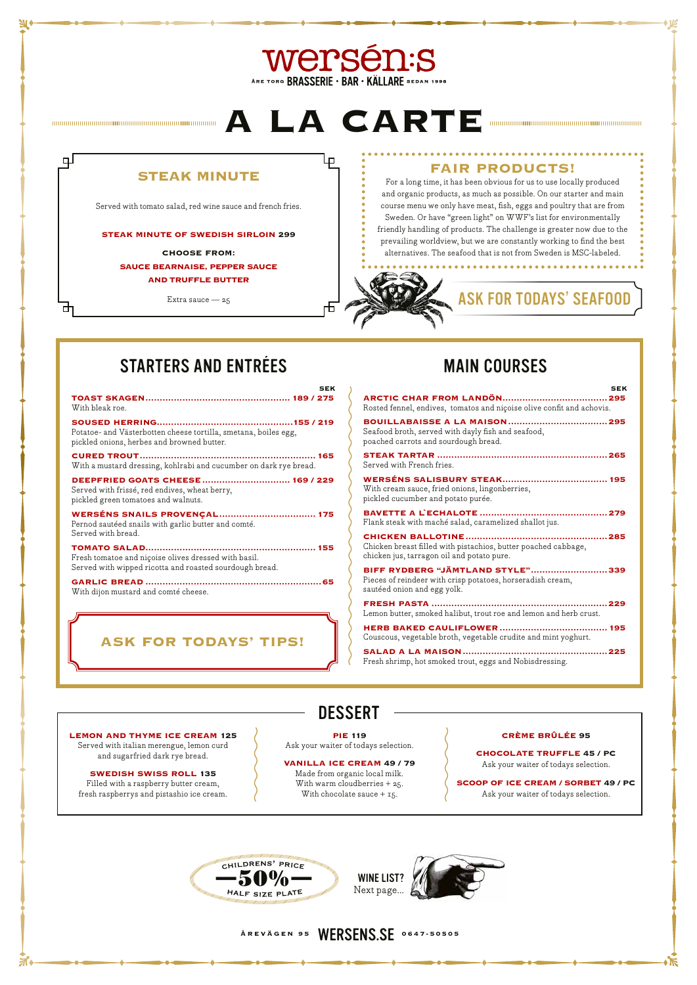# Wersén:s ARE TORG BRASSERIE . BAR . KÄLLARE SEDAN 1998

# **A LA CARTE**

ᇿ

币

# **STEAK MINUTE**

ᄆ

中

Served with tomato salad, red wine sauce and french fries.

**STEAK MINUTE OF SWEDISH SIRLOIN 299**

**CHOOSE FROM: SAUCE BEARNAISE, PEPPER SAUCE AND TRUFFLE BUTTER**

Extra sauce  $-25$ 

# **FAIR PRODUCTS!**

For a long time, it has been obvious for us to use locally produced and organic products, as much as possible. On our starter and main course menu we only have meat, fish, eggs and poultry that are from Sweden. Or have "green light" on WWF's list for environmentally friendly handling of products. The challenge is greater now due to the prevailing worldview, but we are constantly working to find the best alternatives. The seafood that is not from Sweden is MSC-labeled.

Made from organic local milk. With warm cloudberries + 25. With chocolate sauce  $+$  15.

ASK FOR TODAYS' SEAFOOD

# STARTERS AND ENTRÉES MAIN COURSES

# **ÅREVÄGEN 95** WERSENS.SE **0647-50505**



**LEMON AND THYME ICE CREAM 125** Served with italian merengue, lemon curd and sugarfried dark rye bread.

### **SWEDISH SWISS ROLL 135**

Filled with a raspberry butter cream, fresh raspberrys and pistashio ice cream. **PIE 119**

Ask your waiter of todays selection.

### **VANILLA ICE CREAM 49 / 79**

**CRÈME BRÛLÉE 95**

### **CHOCOLATE TRUFFLE 45 / PC**

Ask your waiter of todays selection.

### **SCOOP OF ICE CREAM / SORBET 49 / PC**

Ask your waiter of todays selection.

## **ASK FOR TODAYS' TIPS!**

| <b>SFK</b><br>With bleak roe.                                                                                             |
|---------------------------------------------------------------------------------------------------------------------------|
| Potatoe- and Västerbotten cheese tortilla, smetana, boiles egg,<br>pickled onions, herbes and browned butter.             |
| With a mustard dressing, kohlrabi and cucumber on dark rye bread.                                                         |
| DEEPFRIED GOATS CHEESE  169 / 229<br>Served with frissé, red endives, wheat berry,<br>pickled green tomatoes and walnuts. |
| <b>WERSÉNS SNAILS PROVENÇAL 175</b><br>Pernod sautéed snails with garlic butter and comté.<br>Served with bread.          |
| Fresh tomatoe and niçoise olives dressed with basil.<br>Served with wipped ricotta and roasted sourdough bread.           |
| With dijon mustard and comté cheese.                                                                                      |

| <b>SEK</b>                                                                                                                    |
|-------------------------------------------------------------------------------------------------------------------------------|
| Rosted fennel, endives, tomatos and niçoise olive confit and achovis.                                                         |
| Seafood broth, served with dayly fish and seafood,<br>poached carrots and sourdough bread.                                    |
| Served with French fries.                                                                                                     |
| With cream sauce, fried onions, lingonberries,<br>pickled cucumber and potato purée.                                          |
| Flank steak with maché salad, caramelized shallot jus.                                                                        |
| Chicken breast filled with pistachios, butter poached cabbage,<br>chicken jus, tarragon oil and potato pure.                  |
| BIFF RYDBERG "JÄMTLAND STYLE"339<br>Pieces of reindeer with crisp potatoes, horseradish cream,<br>sautéed onion and egg yolk. |
| Lemon butter, smoked halibut, trout roe and lemon and herb crust.                                                             |
| Couscous, vegetable broth, vegetable crudite and mint yoghurt.                                                                |
| <b>SALAD A LA MAISON </b><br>225<br>Fresh shrimp, hot smoked trout, eggs and Nobisdressing.                                   |

# DESSERT